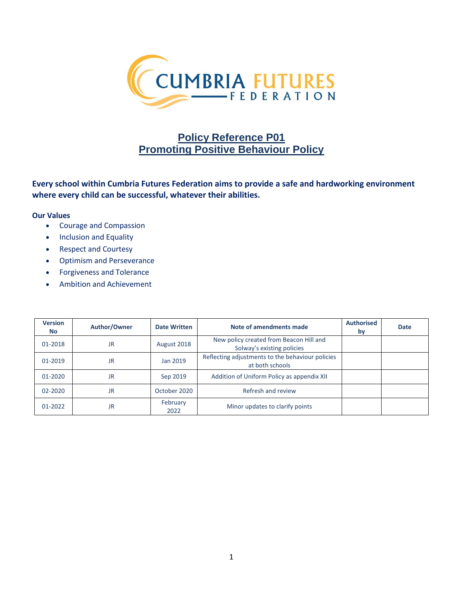

# **Policy Reference P01 Promoting Positive Behaviour Policy**

**Every school within Cumbria Futures Federation aims to provide a safe and hardworking environment where every child can be successful, whatever their abilities.**

#### **Our Values**

- Courage and Compassion
- Inclusion and Equality
- Respect and Courtesy
- Optimism and Perseverance
- Forgiveness and Tolerance
- Ambition and Achievement

| <b>Version</b><br><b>No</b> | Author/Owner | <b>Date Written</b> | Note of amendments made                                               | <b>Authorised</b><br>by | Date |
|-----------------------------|--------------|---------------------|-----------------------------------------------------------------------|-------------------------|------|
| 01-2018                     | <b>JR</b>    | August 2018         | New policy created from Beacon Hill and<br>Solway's existing policies |                         |      |
| 01-2019                     | <b>JR</b>    | Jan 2019            | Reflecting adjustments to the behaviour policies<br>at both schools   |                         |      |
| 01-2020                     | <b>JR</b>    | Sep 2019            | Addition of Uniform Policy as appendix XII                            |                         |      |
| 02-2020                     | JR.          | October 2020        | Refresh and review                                                    |                         |      |
| 01-2022                     | <b>JR</b>    | February<br>2022    | Minor updates to clarify points                                       |                         |      |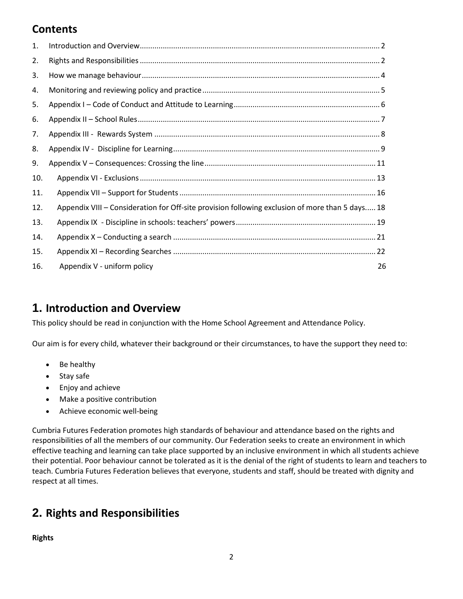# **Contents**

| 1.  |                                                                                                 |    |
|-----|-------------------------------------------------------------------------------------------------|----|
| 2.  |                                                                                                 |    |
| 3.  |                                                                                                 |    |
| 4.  |                                                                                                 |    |
| 5.  |                                                                                                 |    |
| 6.  |                                                                                                 |    |
| 7.  |                                                                                                 |    |
| 8.  |                                                                                                 |    |
| 9.  |                                                                                                 |    |
| 10. |                                                                                                 |    |
| 11. |                                                                                                 |    |
| 12. | Appendix VIII - Consideration for Off-site provision following exclusion of more than 5 days 18 |    |
| 13. |                                                                                                 |    |
| 14. |                                                                                                 |    |
| 15. |                                                                                                 |    |
| 16. | Appendix V - uniform policy                                                                     | 26 |

# **1. Introduction and Overview**

This policy should be read in conjunction with the Home School Agreement and Attendance Policy.

Our aim is for every child, whatever their background or their circumstances, to have the support they need to:

- Be healthy
- Stay safe
- Enjoy and achieve
- Make a positive contribution
- Achieve economic well-being

Cumbria Futures Federation promotes high standards of behaviour and attendance based on the rights and responsibilities of all the members of our community. Our Federation seeks to create an environment in which effective teaching and learning can take place supported by an inclusive environment in which all students achieve their potential. Poor behaviour cannot be tolerated as it is the denial of the right of students to learn and teachers to teach. Cumbria Futures Federation believes that everyone, students and staff, should be treated with dignity and respect at all times.

# **2. Rights and Responsibilities**

**Rights**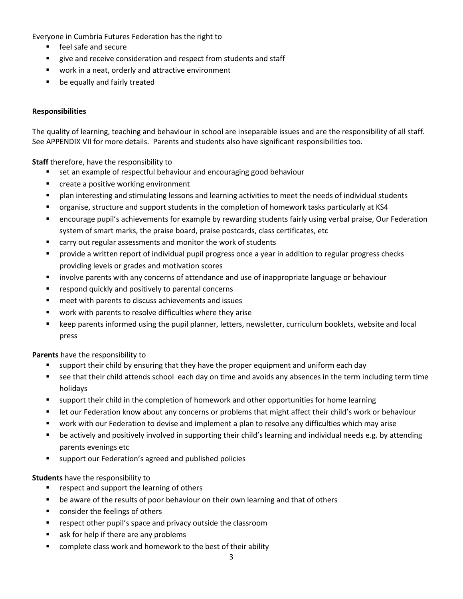Everyone in Cumbria Futures Federation has the right to

- feel safe and secure
- **EXECT** give and receive consideration and respect from students and staff
- **work in a neat, orderly and attractive environment**
- **be equally and fairly treated**

# **Responsibilities**

The quality of learning, teaching and behaviour in school are inseparable issues and are the responsibility of all staff. See APPENDIX VII for more details. Parents and students also have significant responsibilities too.

**Staff** therefore, have the responsibility to

- set an example of respectful behaviour and encouraging good behaviour
- **E** create a positive working environment
- **Phane interesting and stimulating lessons and learning activities to meet the needs of individual students**
- organise, structure and support students in the completion of homework tasks particularly at KS4
- encourage pupil's achievements for example by rewarding students fairly using verbal praise, Our Federation system of smart marks, the praise board, praise postcards, class certificates, etc
- carry out regular assessments and monitor the work of students
- **Perovide a written report of individual pupil progress once a year in addition to regular progress checks** providing levels or grades and motivation scores
- involve parents with any concerns of attendance and use of inappropriate language or behaviour
- **E** respond quickly and positively to parental concerns
- **n** meet with parents to discuss achievements and issues
- work with parents to resolve difficulties where they arise
- keep parents informed using the pupil planner, letters, newsletter, curriculum booklets, website and local press

**Parents** have the responsibility to

- support their child by ensuring that they have the proper equipment and uniform each day
- see that their child attends school each day on time and avoids any absences in the term including term time holidays
- support their child in the completion of homework and other opportunities for home learning
- **E** let our Federation know about any concerns or problems that might affect their child's work or behaviour
- work with our Federation to devise and implement a plan to resolve any difficulties which may arise
- be actively and positively involved in supporting their child's learning and individual needs e.g. by attending parents evenings etc
- support our Federation's agreed and published policies

## **Students** have the responsibility to

- **F** respect and support the learning of others
- **•** be aware of the results of poor behaviour on their own learning and that of others
- **EXECONS** consider the feelings of others
- **F** respect other pupil's space and privacy outside the classroom
- s ask for help if there are any problems
- complete class work and homework to the best of their ability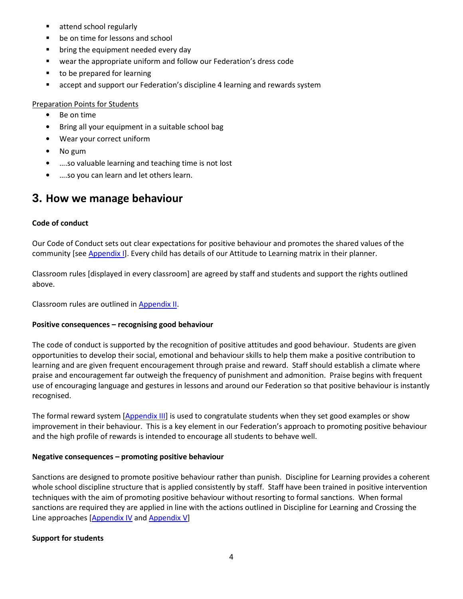- **Exercise attend school regularly**
- **be on time for lessons and school**
- **•** bring the equipment needed every day
- wear the appropriate uniform and follow our Federation's dress code
- to be prepared for learning
- **EXT** accept and support our Federation's discipline 4 learning and rewards system

#### Preparation Points for Students

- Be on time
- Bring all your equipment in a suitable school bag
- Wear your correct uniform
- No gum
- ….so valuable learning and teaching time is not lost
- ….so you can learn and let others learn.

# **3. How we manage behaviour**

## **Code of conduct**

Our Code of Conduct sets out clear expectations for positive behaviour and promotes the shared values of the community [see [Appendix](#page-5-0) I]. Every child has details of our Attitude to Learning matrix in their planner.

Classroom rules [displayed in every classroom] are agreed by staff and students and support the rights outlined above.

Classroom rules are outlined i[n Appendix II.](#page-5-1)

## **Positive consequences – recognising good behaviour**

The code of conduct is supported by the recognition of positive attitudes and good behaviour. Students are given opportunities to develop their social, emotional and behaviour skills to help them make a positive contribution to learning and are given frequent encouragement through praise and reward. Staff should establish a climate where praise and encouragement far outweigh the frequency of punishment and admonition. Praise begins with frequent use of encouraging language and gestures in lessons and around our Federation so that positive behaviour is instantly recognised.

The formal reward system [\[Appendix III\]](#page-6-0) is used to congratulate students when they set good examples or show improvement in their behaviour. This is a key element in our Federation's approach to promoting positive behaviour and the high profile of rewards is intended to encourage all students to behave well.

## **Negative consequences – promoting positive behaviour**

Sanctions are designed to promote positive behaviour rather than punish. Discipline for Learning provides a coherent whole school discipline structure that is applied consistently by staff. Staff have been trained in positive intervention techniques with the aim of promoting positive behaviour without resorting to formal sanctions. When formal sanctions are required they are applied in line with the actions outlined in Discipline for Learning and Crossing the Line approaches [\[Appendix](#page-7-0) IV and [Appendix V\]](#page-10-0)

## **Support for students**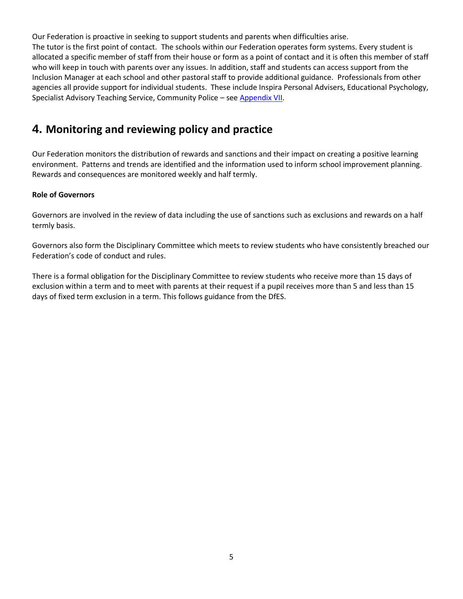Our Federation is proactive in seeking to support students and parents when difficulties arise. The tutor is the first point of contact. The schools within our Federation operates form systems. Every student is allocated a specific member of staff from their house or form as a point of contact and it is often this member of staff who will keep in touch with parents over any issues. In addition, staff and students can access support from the Inclusion Manager at each school and other pastoral staff to provide additional guidance. Professionals from other agencies all provide support for individual students. These include Inspira Personal Advisers, Educational Psychology, Specialist Advisory Teaching Service, Community Police – see [Appendix VII.](#page-14-0)

# **4. Monitoring and reviewing policy and practice**

Our Federation monitors the distribution of rewards and sanctions and their impact on creating a positive learning environment. Patterns and trends are identified and the information used to inform school improvement planning. Rewards and consequences are monitored weekly and half termly.

# **Role of Governors**

Governors are involved in the review of data including the use of sanctions such as exclusions and rewards on a half termly basis.

Governors also form the Disciplinary Committee which meets to review students who have consistently breached our Federation's code of conduct and rules.

There is a formal obligation for the Disciplinary Committee to review students who receive more than 15 days of exclusion within a term and to meet with parents at their request if a pupil receives more than 5 and less than 15 days of fixed term exclusion in a term. This follows guidance from the DfES.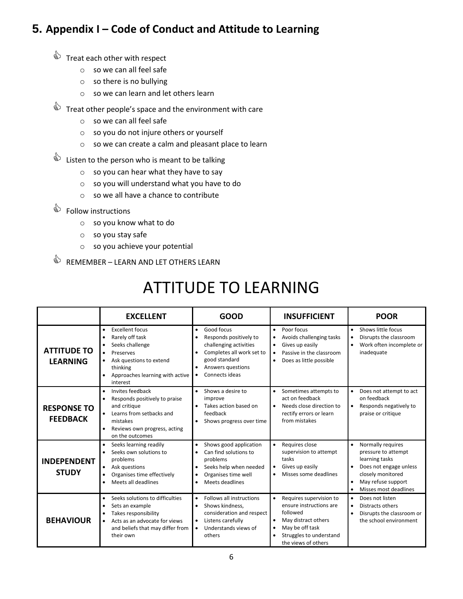# <span id="page-5-0"></span>**5. Appendix I – Code of Conduct and Attitude to Learning**

- $\qquad \qquad \& \qquad$  Treat each other with respect
	- o so we can all feel safe
	- o so there is no bullying
	- o so we can learn and let others learn
- $\stackrel{\triangle}{\Leftrightarrow}$  Treat other people's space and the environment with care
	- o so we can all feel safe
	- o so you do not injure others or yourself
	- o so we can create a calm and pleasant place to learn
- $\overset{\triangle}{\Leftrightarrow}$  Listen to the person who is meant to be talking
	- o so you can hear what they have to say
	- o so you will understand what you have to do
	- o so we all have a chance to contribute
- $\overset{\triangle}{\Leftrightarrow}$  Follow instructions
	- o so you know what to do
	- o so you stay safe
	- o so you achieve your potential
- $\overset{\triangle}{\Leftrightarrow}$  REMEMBER LEARN AND LET OTHERS LEARN

# ATTITUDE TO LEARNING

<span id="page-5-1"></span>

|                                       | <b>EXCELLENT</b>                                                                                                                                                                       | <b>GOOD</b>                                                                                                                                                           | <b>INSUFFICIENT</b>                                                                                                                                                     | <b>POOR</b>                                                                                                                                                                                     |
|---------------------------------------|----------------------------------------------------------------------------------------------------------------------------------------------------------------------------------------|-----------------------------------------------------------------------------------------------------------------------------------------------------------------------|-------------------------------------------------------------------------------------------------------------------------------------------------------------------------|-------------------------------------------------------------------------------------------------------------------------------------------------------------------------------------------------|
| <b>ATTITUDE TO</b><br><b>LEARNING</b> | <b>Excellent focus</b><br>$\bullet$<br>Rarely off task<br>Seeks challenge<br>Preserves<br>Ask questions to extend<br>thinking<br>Approaches learning with active<br>interest           | Good focus<br>٠<br>Responds positively to<br>challenging activities<br>Completes all work set to<br>good standard<br>Answers questions<br>$\bullet$<br>Connects ideas | Poor focus<br>$\bullet$<br>Avoids challenging tasks<br>Gives up easily<br>$\bullet$<br>Passive in the classroom<br>Does as little possible<br>$\bullet$                 | Shows little focus<br>$\bullet$<br>Disrupts the classroom<br>$\bullet$<br>Work often incomplete or<br>$\bullet$<br>inadequate                                                                   |
| <b>RESPONSE TO</b><br><b>FEEDBACK</b> | Invites feedback<br>Responds positively to praise<br>and critique<br>Learns from setbacks and<br>$\bullet$<br>mistakes<br>Reviews own progress, acting<br>on the outcomes              | Shows a desire to<br>improve<br>Takes action based on<br>feedback<br>Shows progress over time                                                                         | Sometimes attempts to<br>act on feedback<br>Needs close direction to<br>rectify errors or learn<br>from mistakes                                                        | Does not attempt to act<br>on feedback<br>Responds negatively to<br>$\bullet$<br>praise or critique                                                                                             |
| <b>INDEPENDENT</b><br><b>STUDY</b>    | Seeks learning readily<br>$\bullet$<br>Seeks own solutions to<br>problems<br>Ask questions<br>Organises time effectively<br>$\bullet$<br>Meets all deadlines<br>$\bullet$              | Shows good application<br>Can find solutions to<br>problems<br>Seeks help when needed<br>Organises time well<br>Meets deadlines                                       | Requires close<br>supervision to attempt<br>tasks<br>Gives up easily<br>$\bullet$<br>Misses some deadlines<br>$\bullet$                                                 | Normally requires<br>$\bullet$<br>pressure to attempt<br>learning tasks<br>Does not engage unless<br>closely monitored<br>May refuse support<br>$\bullet$<br>Misses most deadlines<br>$\bullet$ |
| <b>BEHAVIOUR</b>                      | Seeks solutions to difficulties<br>$\bullet$<br>Sets an example<br>Takes responsibility<br>$\bullet$<br>Acts as an advocate for views<br>and beliefs that may differ from<br>their own | Follows all instructions<br>$\bullet$<br>Shows kindness,<br>consideration and respect<br>Listens carefully<br>$\bullet$<br>Understands views of<br>others             | Requires supervision to<br>ensure instructions are<br>followed<br>May distract others<br>$\bullet$<br>May be off task<br>Struggles to understand<br>the views of others | Does not listen<br>$\bullet$<br>Distracts others<br>Disrupts the classroom or<br>$\bullet$<br>the school environment                                                                            |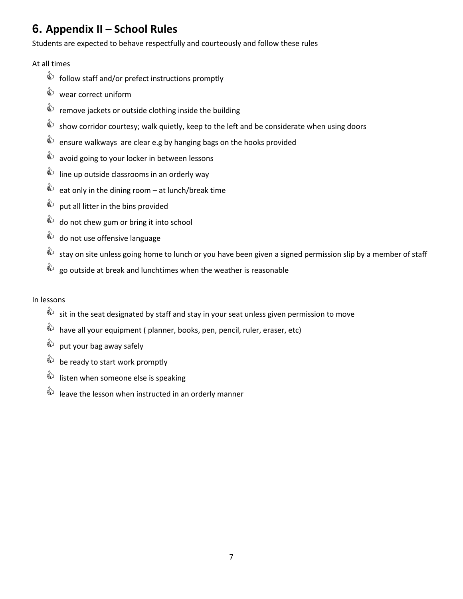# **6. Appendix II – School Rules**

Students are expected to behave respectfully and courteously and follow these rules

# At all times

- $\overset{\triangle}{\bullet}$  follow staff and/or prefect instructions promptly
- $\qquad$  wear correct uniform
- **A** remove jackets or outside clothing inside the building
- show corridor courtesy; walk quietly, keep to the left and be considerate when using doors
- $\overset{\triangle}{\triangle}$  ensure walkways are clear e.g by hanging bags on the hooks provided
- $\overset{\triangle}{\Leftrightarrow}$  avoid going to your locker in between lessons
- $\mathbf{Q}$  line up outside classrooms in an orderly way
- $\overrightarrow{a}$  eat only in the dining room at lunch/break time
- $\qquad \qquad \& \qquad$  put all litter in the bins provided
- $\overset{\triangle}{\bullet}$  do not chew gum or bring it into school
- $\qquad$  do not use offensive language
- stay on site unless going home to lunch or you have been given a signed permission slip by a member of staff
- $\overrightarrow{a}$  go outside at break and lunchtimes when the weather is reasonable

# In lessons

- sit in the seat designated by staff and stay in your seat unless given permission to move
- $\overrightarrow{a}$  have all your equipment ( planner, books, pen, pencil, ruler, eraser, etc)
- $\qquad \qquad \circledast$  put your bag away safely
- $\overrightarrow{a}$  be ready to start work promptly
- $\overrightarrow{a}$  listen when someone else is speaking
- <span id="page-6-0"></span> $\mathbf{e}^{\mathbf{e}}$  leave the lesson when instructed in an orderly manner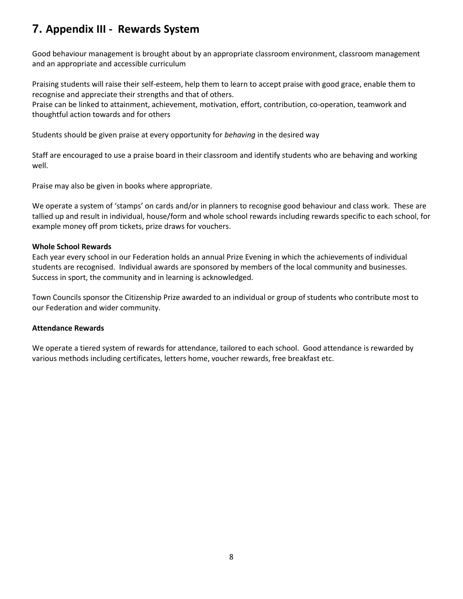# **7. Appendix III - Rewards System**

Good behaviour management is brought about by an appropriate classroom environment, classroom management and an appropriate and accessible curriculum

Praising students will raise their self-esteem, help them to learn to accept praise with good grace, enable them to recognise and appreciate their strengths and that of others.

Praise can be linked to attainment, achievement, motivation, effort, contribution, co-operation, teamwork and thoughtful action towards and for others

Students should be given praise at every opportunity for *behaving* in the desired way

Staff are encouraged to use a praise board in their classroom and identify students who are behaving and working well.

Praise may also be given in books where appropriate.

We operate a system of 'stamps' on cards and/or in planners to recognise good behaviour and class work. These are tallied up and result in individual, house/form and whole school rewards including rewards specific to each school, for example money off prom tickets, prize draws for vouchers.

## **Whole School Rewards**

Each year every school in our Federation holds an annual Prize Evening in which the achievements of individual students are recognised. Individual awards are sponsored by members of the local community and businesses. Success in sport, the community and in learning is acknowledged.

Town Councils sponsor the Citizenship Prize awarded to an individual or group of students who contribute most to our Federation and wider community.

## **Attendance Rewards**

<span id="page-7-0"></span>We operate a tiered system of rewards for attendance, tailored to each school. Good attendance is rewarded by various methods including certificates, letters home, voucher rewards, free breakfast etc.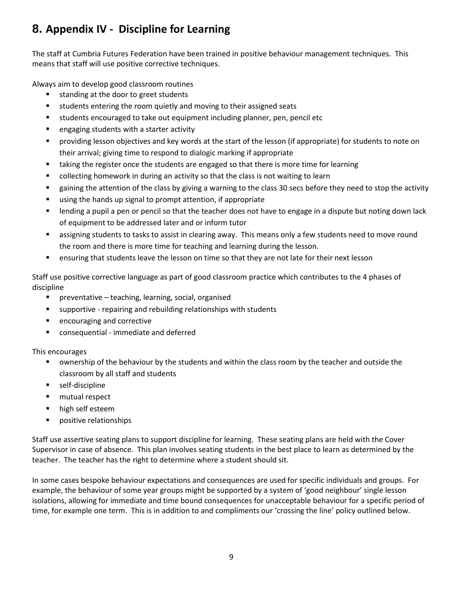# **8. Appendix IV - Discipline for Learning**

The staff at Cumbria Futures Federation have been trained in positive behaviour management techniques. This means that staff will use positive corrective techniques.

Always aim to develop good classroom routines

- **standing at the door to greet students**
- **students entering the room quietly and moving to their assigned seats**
- students encouraged to take out equipment including planner, pen, pencil etc
- **E** engaging students with a starter activity
- providing lesson objectives and key words at the start of the lesson (if appropriate) for students to note on their arrival; giving time to respond to dialogic marking if appropriate
- **that** taking the register once the students are engaged so that there is more time for learning
- **•** collecting homework in during an activity so that the class is not waiting to learn
- **EXED** gaining the attention of the class by giving a warning to the class 30 secs before they need to stop the activity
- using the hands up signal to prompt attention, if appropriate
- lending a pupil a pen or pencil so that the teacher does not have to engage in a dispute but noting down lack of equipment to be addressed later and or inform tutor
- **Example 3 assigning students to tasks to assist in clearing away. This means only a few students need to move round** the room and there is more time for teaching and learning during the lesson.
- **EXECT** ensuring that students leave the lesson on time so that they are not late for their next lesson

Staff use positive corrective language as part of good classroom practice which contributes to the 4 phases of discipline

- preventative teaching, learning, social, organised
- supportive repairing and rebuilding relationships with students
- **EXE** encouraging and corrective
- **EXP** consequential immediate and deferred

This encourages

- ownership of the behaviour by the students and within the class room by the teacher and outside the classroom by all staff and students
- self-discipline
- mutual respect
- **high self esteem**
- **Phone** positive relationships

Staff use assertive seating plans to support discipline for learning. These seating plans are held with the Cover Supervisor in case of absence. This plan involves seating students in the best place to learn as determined by the teacher. The teacher has the right to determine where a student should sit.

In some cases bespoke behaviour expectations and consequences are used for specific individuals and groups. For example, the behaviour of some year groups might be supported by a system of 'good neighbour' single lesson isolations, allowing for immediate and time bound consequences for unacceptable behaviour for a specific period of time, for example one term. This is in addition to and compliments our 'crossing the line' policy outlined below.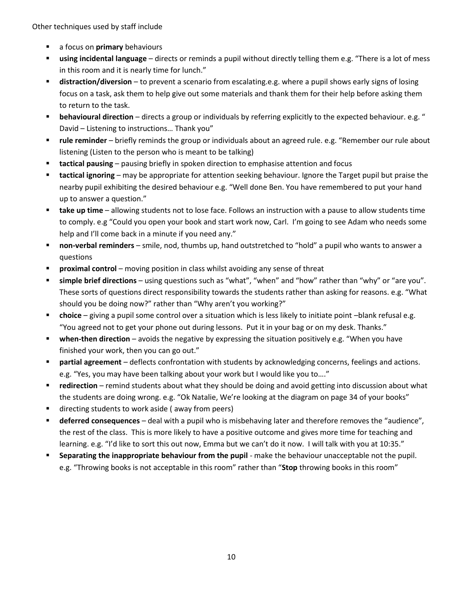Other techniques used by staff include

- **a** a focus on **primary** behaviours
- **using incidental language** directs or reminds a pupil without directly telling them e.g. "There is a lot of mess in this room and it is nearly time for lunch."
- **distraction/diversion** to prevent a scenario from escalating.e.g. where a pupil shows early signs of losing focus on a task, ask them to help give out some materials and thank them for their help before asking them to return to the task.
- **behavioural direction** directs a group or individuals by referring explicitly to the expected behaviour. e.g. " David – Listening to instructions… Thank you"
- **rule reminder** briefly reminds the group or individuals about an agreed rule. e.g. "Remember our rule about listening (Listen to the person who is meant to be talking)
- **tactical pausing** pausing briefly in spoken direction to emphasise attention and focus
- **tactical ignoring** may be appropriate for attention seeking behaviour. Ignore the Target pupil but praise the nearby pupil exhibiting the desired behaviour e.g. "Well done Ben. You have remembered to put your hand up to answer a question."
- **take up time** allowing students not to lose face. Follows an instruction with a pause to allow students time to comply. e.g "Could you open your book and start work now, Carl. I'm going to see Adam who needs some help and I'll come back in a minute if you need any."
- **non-verbal reminders** smile, nod, thumbs up, hand outstretched to "hold" a pupil who wants to answer a questions
- **Proximal control** moving position in class whilst avoiding any sense of threat
- **simple brief directions** using questions such as "what", "when" and "how" rather than "why" or "are you". These sorts of questions direct responsibility towards the students rather than asking for reasons. e.g. "What should you be doing now?" rather than "Why aren't you working?"
- **choice**  giving a pupil some control over a situation which is less likely to initiate point –blank refusal e.g. "You agreed not to get your phone out during lessons. Put it in your bag or on my desk. Thanks."
- **when-then direction** avoids the negative by expressing the situation positively e.g. "When you have finished your work, then you can go out."
- **partial agreement** deflects confrontation with students by acknowledging concerns, feelings and actions. e.g. "Yes, you may have been talking about your work but I would like you to…."
- **redirection**  remind students about what they should be doing and avoid getting into discussion about what the students are doing wrong. e.g. "Ok Natalie, We're looking at the diagram on page 34 of your books"
- **directing students to work aside (away from peers)**
- **deferred consequences** deal with a pupil who is misbehaving later and therefore removes the "audience", the rest of the class. This is more likely to have a positive outcome and gives more time for teaching and learning. e.g. "I'd like to sort this out now, Emma but we can't do it now. I will talk with you at 10:35."
- **Separating the inappropriate behaviour from the pupil** make the behaviour unacceptable not the pupil. e.g. "Throwing books is not acceptable in this room" rather than "**Stop** throwing books in this room"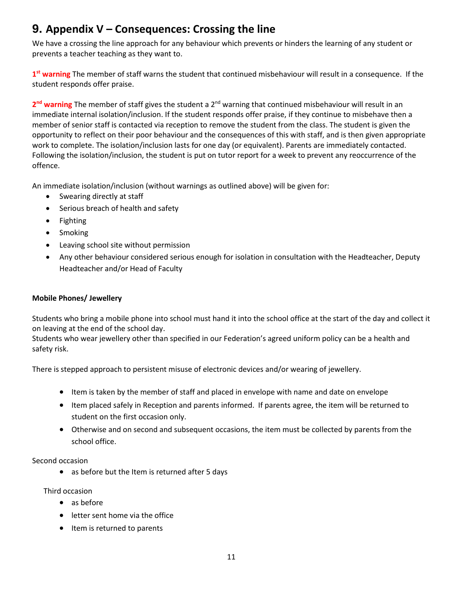# <span id="page-10-0"></span>**9. Appendix V – Consequences: Crossing the line**

We have a crossing the line approach for any behaviour which prevents or hinders the learning of any student or prevents a teacher teaching as they want to.

**1 st warning** The member of staff warns the student that continued misbehaviour will result in a consequence. If the student responds offer praise.

2<sup>nd</sup> warning The member of staff gives the student a 2<sup>nd</sup> warning that continued misbehaviour will result in an immediate internal isolation/inclusion. If the student responds offer praise, if they continue to misbehave then a member of senior staff is contacted via reception to remove the student from the class. The student is given the opportunity to reflect on their poor behaviour and the consequences of this with staff, and is then given appropriate work to complete. The isolation/inclusion lasts for one day (or equivalent). Parents are immediately contacted. Following the isolation/inclusion, the student is put on tutor report for a week to prevent any reoccurrence of the offence.

An immediate isolation/inclusion (without warnings as outlined above) will be given for:

- Swearing directly at staff
- Serious breach of health and safety
- Fighting
- Smoking
- Leaving school site without permission
- Any other behaviour considered serious enough for isolation in consultation with the Headteacher, Deputy Headteacher and/or Head of Faculty

# **Mobile Phones/ Jewellery**

Students who bring a mobile phone into school must hand it into the school office at the start of the day and collect it on leaving at the end of the school day.

Students who wear jewellery other than specified in our Federation's agreed uniform policy can be a health and safety risk.

There is stepped approach to persistent misuse of electronic devices and/or wearing of jewellery.

- Item is taken by the member of staff and placed in envelope with name and date on envelope
- Item placed safely in Reception and parents informed. If parents agree, the item will be returned to student on the first occasion only.
- Otherwise and on second and subsequent occasions, the item must be collected by parents from the school office.

Second occasion

as before but the Item is returned after 5 days

Third occasion

- as before
- letter sent home via the office
- Item is returned to parents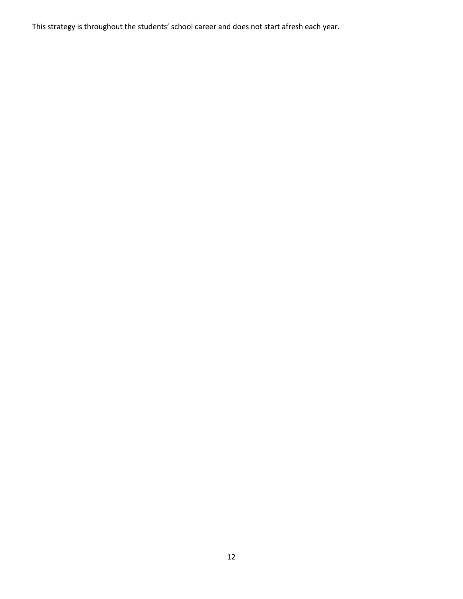This strategy is throughout the students' school career and does not start afresh each year.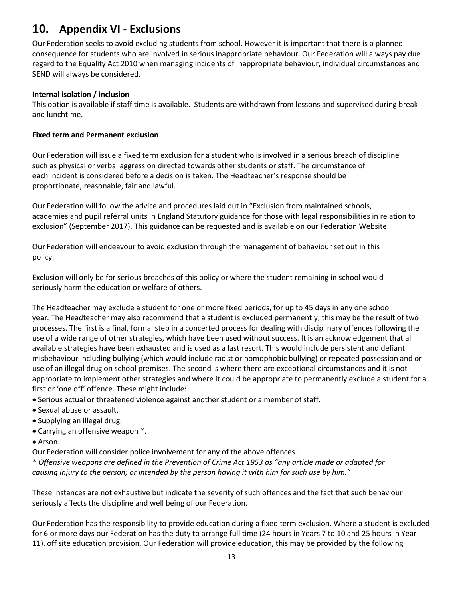# **10. Appendix VI - Exclusions**

Our Federation seeks to avoid excluding students from school. However it is important that there is a planned consequence for students who are involved in serious inappropriate behaviour. Our Federation will always pay due regard to the Equality Act 2010 when managing incidents of inappropriate behaviour, individual circumstances and SEND will always be considered.

# **Internal isolation / inclusion**

This option is available if staff time is available. Students are withdrawn from lessons and supervised during break and lunchtime.

# **Fixed term and Permanent exclusion**

Our Federation will issue a fixed term exclusion for a student who is involved in a serious breach of discipline such as physical or verbal aggression directed towards other students or staff. The circumstance of each incident is considered before a decision is taken. The Headteacher's response should be proportionate, reasonable, fair and lawful.

Our Federation will follow the advice and procedures laid out in "Exclusion from maintained schools, academies and pupil referral units in England Statutory guidance for those with legal responsibilities in relation to exclusion" (September 2017). This guidance can be requested and is available on our Federation Website.

Our Federation will endeavour to avoid exclusion through the management of behaviour set out in this policy.

Exclusion will only be for serious breaches of this policy or where the student remaining in school would seriously harm the education or welfare of others.

The Headteacher may exclude a student for one or more fixed periods, for up to 45 days in any one school year. The Headteacher may also recommend that a student is excluded permanently, this may be the result of two processes. The first is a final, formal step in a concerted process for dealing with disciplinary offences following the use of a wide range of other strategies, which have been used without success. It is an acknowledgement that all available strategies have been exhausted and is used as a last resort. This would include persistent and defiant misbehaviour including bullying (which would include racist or homophobic bullying) or repeated possession and or use of an illegal drug on school premises. The second is where there are exceptional circumstances and it is not appropriate to implement other strategies and where it could be appropriate to permanently exclude a student for a first or 'one off' offence. These might include:

- Serious actual or threatened violence against another student or a member of staff.
- Sexual abuse or assault.
- Supplying an illegal drug.
- Carrying an offensive weapon \*.
- Arson.

Our Federation will consider police involvement for any of the above offences.

\* *Offensive weapons are defined in the Prevention of Crime Act 1953 as "any article made or adapted for causing injury to the person; or intended by the person having it with him for such use by him."*

These instances are not exhaustive but indicate the severity of such offences and the fact that such behaviour seriously affects the discipline and well being of our Federation.

Our Federation has the responsibility to provide education during a fixed term exclusion. Where a student is excluded for 6 or more days our Federation has the duty to arrange full time (24 hours in Years 7 to 10 and 25 hours in Year 11), off site education provision. Our Federation will provide education, this may be provided by the following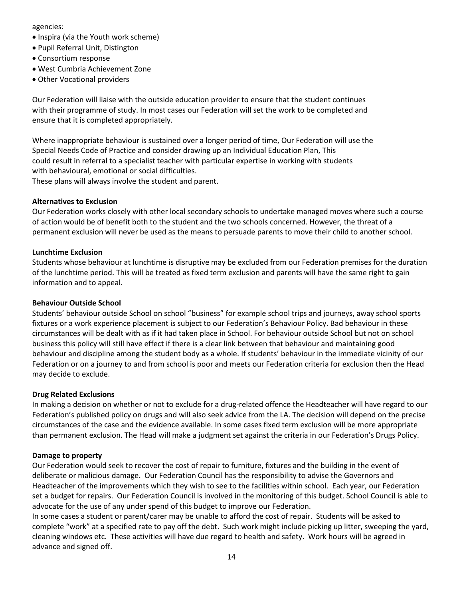agencies:

- Inspira (via the Youth work scheme)
- Pupil Referral Unit, Distington
- Consortium response
- West Cumbria Achievement Zone
- Other Vocational providers

Our Federation will liaise with the outside education provider to ensure that the student continues with their programme of study. In most cases our Federation will set the work to be completed and ensure that it is completed appropriately.

Where inappropriate behaviour is sustained over a longer period of time, Our Federation will use the Special Needs Code of Practice and consider drawing up an Individual Education Plan, This could result in referral to a specialist teacher with particular expertise in working with students with behavioural, emotional or social difficulties. These plans will always involve the student and parent.

# **Alternatives to Exclusion**

Our Federation works closely with other local secondary schools to undertake managed moves where such a course of action would be of benefit both to the student and the two schools concerned. However, the threat of a permanent exclusion will never be used as the means to persuade parents to move their child to another school.

## **Lunchtime Exclusion**

Students whose behaviour at lunchtime is disruptive may be excluded from our Federation premises for the duration of the lunchtime period. This will be treated as fixed term exclusion and parents will have the same right to gain information and to appeal.

# **Behaviour Outside School**

Students' behaviour outside School on school "business" for example school trips and journeys, away school sports fixtures or a work experience placement is subject to our Federation's Behaviour Policy. Bad behaviour in these circumstances will be dealt with as if it had taken place in School. For behaviour outside School but not on school business this policy will still have effect if there is a clear link between that behaviour and maintaining good behaviour and discipline among the student body as a whole. If students' behaviour in the immediate vicinity of our Federation or on a journey to and from school is poor and meets our Federation criteria for exclusion then the Head may decide to exclude.

## **Drug Related Exclusions**

In making a decision on whether or not to exclude for a drug-related offence the Headteacher will have regard to our Federation's published policy on drugs and will also seek advice from the LA. The decision will depend on the precise circumstances of the case and the evidence available. In some cases fixed term exclusion will be more appropriate than permanent exclusion. The Head will make a judgment set against the criteria in our Federation's Drugs Policy.

## **Damage to property**

Our Federation would seek to recover the cost of repair to furniture, fixtures and the building in the event of deliberate or malicious damage. Our Federation Council has the responsibility to advise the Governors and Headteacher of the improvements which they wish to see to the facilities within school. Each year, our Federation set a budget for repairs. Our Federation Council is involved in the monitoring of this budget. School Council is able to advocate for the use of any under spend of this budget to improve our Federation.

In some cases a student or parent/carer may be unable to afford the cost of repair. Students will be asked to complete "work" at a specified rate to pay off the debt. Such work might include picking up litter, sweeping the yard, cleaning windows etc. These activities will have due regard to health and safety. Work hours will be agreed in advance and signed off.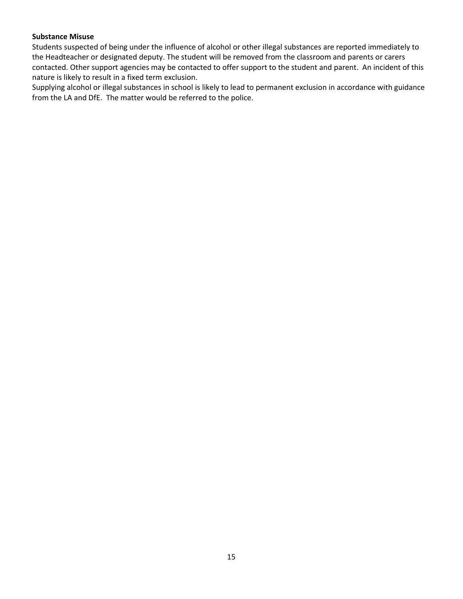# **Substance Misuse**

Students suspected of being under the influence of alcohol or other illegal substances are reported immediately to the Headteacher or designated deputy. The student will be removed from the classroom and parents or carers contacted. Other support agencies may be contacted to offer support to the student and parent. An incident of this nature is likely to result in a fixed term exclusion.

<span id="page-14-0"></span>Supplying alcohol or illegal substances in school is likely to lead to permanent exclusion in accordance with guidance from the LA and DfE. The matter would be referred to the police.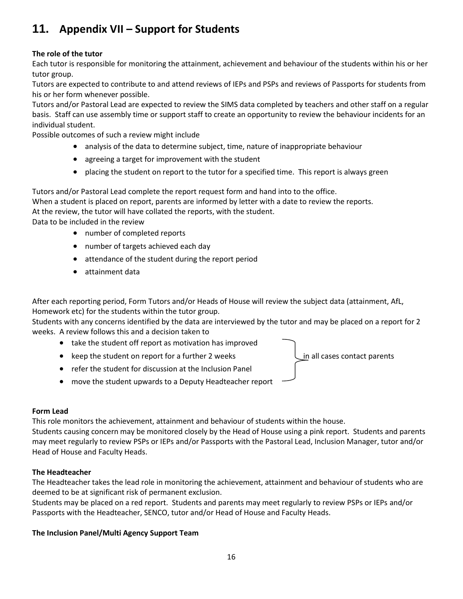# **11. Appendix VII – Support for Students**

# **The role of the tutor**

Each tutor is responsible for monitoring the attainment, achievement and behaviour of the students within his or her tutor group.

Tutors are expected to contribute to and attend reviews of IEPs and PSPs and reviews of Passports for students from his or her form whenever possible.

Tutors and/or Pastoral Lead are expected to review the SIMS data completed by teachers and other staff on a regular basis. Staff can use assembly time or support staff to create an opportunity to review the behaviour incidents for an individual student.

Possible outcomes of such a review might include

- analysis of the data to determine subject, time, nature of inappropriate behaviour
- agreeing a target for improvement with the student
- placing the student on report to the tutor for a specified time. This report is always green

Tutors and/or Pastoral Lead complete the report request form and hand into to the office.

When a student is placed on report, parents are informed by letter with a date to review the reports.

At the review, the tutor will have collated the reports, with the student.

Data to be included in the review

- number of completed reports
- number of targets achieved each day
- attendance of the student during the report period
- attainment data

After each reporting period, Form Tutors and/or Heads of House will review the subject data (attainment, AfL, Homework etc) for the students within the tutor group.

Students with any concerns identified by the data are interviewed by the tutor and may be placed on a report for 2 weeks. A review follows this and a decision taken to

- take the student off report as motivation has improved
- keep the student on report for a further 2 weeks in all cases contact parents
- refer the student for discussion at the Inclusion Panel
- move the student upwards to a Deputy Headteacher report

# **Form Lead**

This role monitors the achievement, attainment and behaviour of students within the house.

Students causing concern may be monitored closely by the Head of House using a pink report. Students and parents may meet regularly to review PSPs or IEPs and/or Passports with the Pastoral Lead, Inclusion Manager, tutor and/or Head of House and Faculty Heads.

# **The Headteacher**

The Headteacher takes the lead role in monitoring the achievement, attainment and behaviour of students who are deemed to be at significant risk of permanent exclusion.

16

Students may be placed on a red report. Students and parents may meet regularly to review PSPs or IEPs and/or Passports with the Headteacher, SENCO, tutor and/or Head of House and Faculty Heads.

# **The Inclusion Panel/Multi Agency Support Team**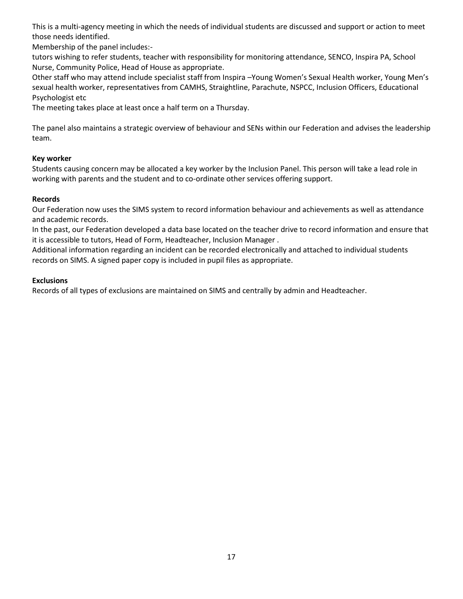This is a multi-agency meeting in which the needs of individual students are discussed and support or action to meet those needs identified.

Membership of the panel includes:-

tutors wishing to refer students, teacher with responsibility for monitoring attendance, SENCO, Inspira PA, School Nurse, Community Police, Head of House as appropriate.

Other staff who may attend include specialist staff from Inspira –Young Women's Sexual Health worker, Young Men's sexual health worker, representatives from CAMHS, Straightline, Parachute, NSPCC, Inclusion Officers, Educational Psychologist etc

The meeting takes place at least once a half term on a Thursday.

The panel also maintains a strategic overview of behaviour and SENs within our Federation and advises the leadership team.

# **Key worker**

Students causing concern may be allocated a key worker by the Inclusion Panel. This person will take a lead role in working with parents and the student and to co-ordinate other services offering support.

# **Records**

Our Federation now uses the SIMS system to record information behaviour and achievements as well as attendance and academic records.

In the past, our Federation developed a data base located on the teacher drive to record information and ensure that it is accessible to tutors, Head of Form, Headteacher, Inclusion Manager .

Additional information regarding an incident can be recorded electronically and attached to individual students records on SIMS. A signed paper copy is included in pupil files as appropriate.

# **Exclusions**

Records of all types of exclusions are maintained on SIMS and centrally by admin and Headteacher.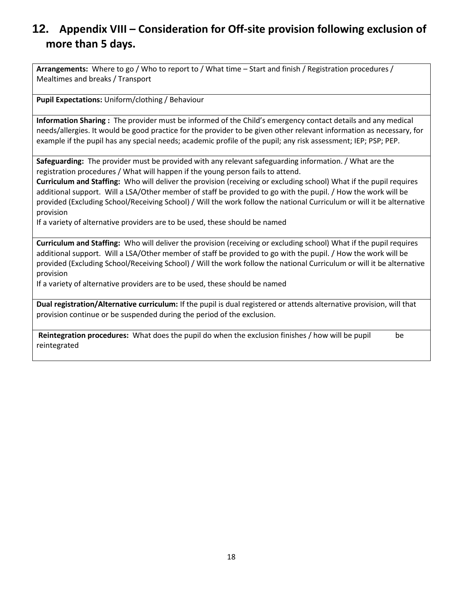# **12. Appendix VIII – Consideration for Off-site provision following exclusion of more than 5 days.**

**Arrangements:** Where to go / Who to report to / What time – Start and finish / Registration procedures / Mealtimes and breaks / Transport

**Pupil Expectations:** Uniform/clothing / Behaviour

**Information Sharing :** The provider must be informed of the Child's emergency contact details and any medical needs/allergies. It would be good practice for the provider to be given other relevant information as necessary, for example if the pupil has any special needs; academic profile of the pupil; any risk assessment; IEP; PSP; PEP.

**Safeguarding:** The provider must be provided with any relevant safeguarding information. / What are the registration procedures / What will happen if the young person fails to attend.

**Curriculum and Staffing:** Who will deliver the provision (receiving or excluding school) What if the pupil requires additional support. Will a LSA/Other member of staff be provided to go with the pupil. / How the work will be provided (Excluding School/Receiving School) / Will the work follow the national Curriculum or will it be alternative provision

If a variety of alternative providers are to be used, these should be named

**Curriculum and Staffing:** Who will deliver the provision (receiving or excluding school) What if the pupil requires additional support. Will a LSA/Other member of staff be provided to go with the pupil. / How the work will be provided (Excluding School/Receiving School) / Will the work follow the national Curriculum or will it be alternative provision

If a variety of alternative providers are to be used, these should be named

**Dual registration/Alternative curriculum:** If the pupil is dual registered or attends alternative provision, will that provision continue or be suspended during the period of the exclusion.

**Reintegration procedures:** What does the pupil do when the exclusion finishes / how will be pupil be reintegrated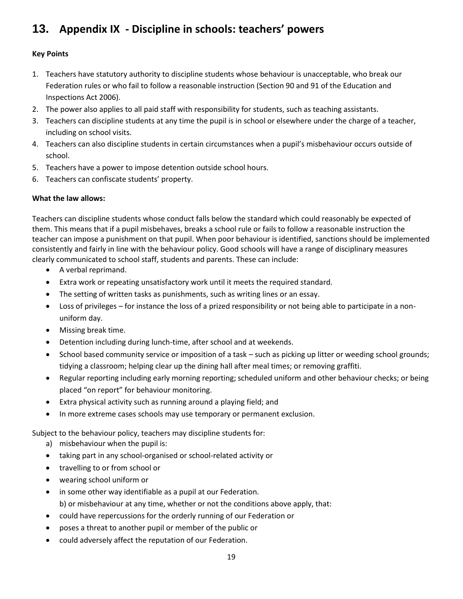# **13. Appendix IX - Discipline in schools: teachers' powers**

# **Key Points**

- 1. Teachers have statutory authority to discipline students whose behaviour is unacceptable, who break our Federation rules or who fail to follow a reasonable instruction (Section 90 and 91 of the Education and Inspections Act 2006).
- 2. The power also applies to all paid staff with responsibility for students, such as teaching assistants.
- 3. Teachers can discipline students at any time the pupil is in school or elsewhere under the charge of a teacher, including on school visits.
- 4. Teachers can also discipline students in certain circumstances when a pupil's misbehaviour occurs outside of school.
- 5. Teachers have a power to impose detention outside school hours.
- 6. Teachers can confiscate students' property.

# **What the law allows:**

Teachers can discipline students whose conduct falls below the standard which could reasonably be expected of them. This means that if a pupil misbehaves, breaks a school rule or fails to follow a reasonable instruction the teacher can impose a punishment on that pupil. When poor behaviour is identified, sanctions should be implemented consistently and fairly in line with the behaviour policy. Good schools will have a range of disciplinary measures clearly communicated to school staff, students and parents. These can include:

- A verbal reprimand.
- Extra work or repeating unsatisfactory work until it meets the required standard.
- The setting of written tasks as punishments, such as writing lines or an essay.
- Loss of privileges for instance the loss of a prized responsibility or not being able to participate in a nonuniform day.
- Missing break time.
- Detention including during lunch-time, after school and at weekends.
- School based community service or imposition of a task such as picking up litter or weeding school grounds; tidying a classroom; helping clear up the dining hall after meal times; or removing graffiti.
- Regular reporting including early morning reporting; scheduled uniform and other behaviour checks; or being placed "on report" for behaviour monitoring.
- Extra physical activity such as running around a playing field; and
- In more extreme cases schools may use temporary or permanent exclusion.

Subject to the behaviour policy, teachers may discipline students for:

- a) misbehaviour when the pupil is:
- taking part in any school-organised or school-related activity or
- travelling to or from school or
- wearing school uniform or
- in some other way identifiable as a pupil at our Federation.
	- b) or misbehaviour at any time, whether or not the conditions above apply, that:
- could have repercussions for the orderly running of our Federation or
- poses a threat to another pupil or member of the public or
- could adversely affect the reputation of our Federation.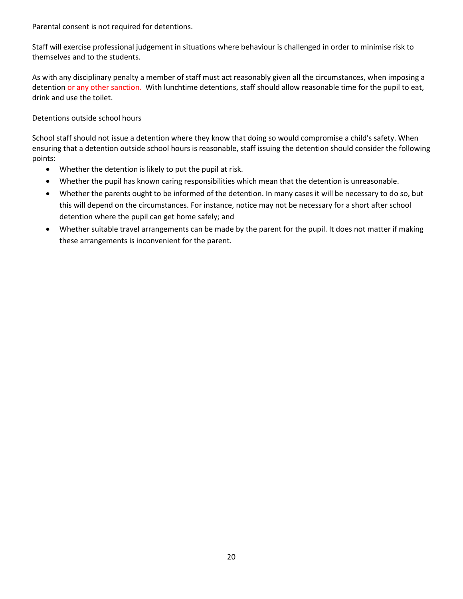Parental consent is not required for detentions.

Staff will exercise professional judgement in situations where behaviour is challenged in order to minimise risk to themselves and to the students.

As with any disciplinary penalty a member of staff must act reasonably given all the circumstances, when imposing a detention or any other sanction. With lunchtime detentions, staff should allow reasonable time for the pupil to eat, drink and use the toilet.

Detentions outside school hours

School staff should not issue a detention where they know that doing so would compromise a child's safety. When ensuring that a detention outside school hours is reasonable, staff issuing the detention should consider the following points:

- Whether the detention is likely to put the pupil at risk.
- Whether the pupil has known caring responsibilities which mean that the detention is unreasonable.
- Whether the parents ought to be informed of the detention. In many cases it will be necessary to do so, but this will depend on the circumstances. For instance, notice may not be necessary for a short after school detention where the pupil can get home safely; and
- Whether suitable travel arrangements can be made by the parent for the pupil. It does not matter if making these arrangements is inconvenient for the parent.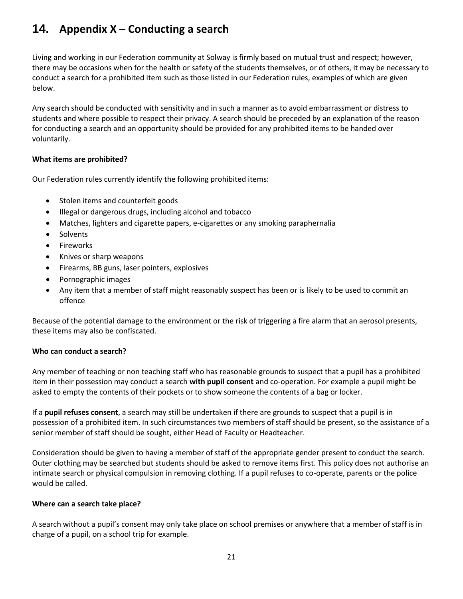# **14. Appendix X – Conducting a search**

Living and working in our Federation community at Solway is firmly based on mutual trust and respect; however, there may be occasions when for the health or safety of the students themselves, or of others, it may be necessary to conduct a search for a prohibited item such as those listed in our Federation rules, examples of which are given below.

Any search should be conducted with sensitivity and in such a manner as to avoid embarrassment or distress to students and where possible to respect their privacy. A search should be preceded by an explanation of the reason for conducting a search and an opportunity should be provided for any prohibited items to be handed over voluntarily.

# **What items are prohibited?**

Our Federation rules currently identify the following prohibited items:

- Stolen items and counterfeit goods
- Illegal or dangerous drugs, including alcohol and tobacco
- Matches, lighters and cigarette papers, e-cigarettes or any smoking paraphernalia
- Solvents
- Fireworks
- Knives or sharp weapons
- Firearms, BB guns, laser pointers, explosives
- Pornographic images
- Any item that a member of staff might reasonably suspect has been or is likely to be used to commit an offence

Because of the potential damage to the environment or the risk of triggering a fire alarm that an aerosol presents, these items may also be confiscated.

## **Who can conduct a search?**

Any member of teaching or non teaching staff who has reasonable grounds to suspect that a pupil has a prohibited item in their possession may conduct a search **with pupil consent** and co-operation. For example a pupil might be asked to empty the contents of their pockets or to show someone the contents of a bag or locker.

If a **pupil refuses consent**, a search may still be undertaken if there are grounds to suspect that a pupil is in possession of a prohibited item. In such circumstances two members of staff should be present, so the assistance of a senior member of staff should be sought, either Head of Faculty or Headteacher.

Consideration should be given to having a member of staff of the appropriate gender present to conduct the search. Outer clothing may be searched but students should be asked to remove items first. This policy does not authorise an intimate search or physical compulsion in removing clothing. If a pupil refuses to co-operate, parents or the police would be called.

## **Where can a search take place?**

A search without a pupil's consent may only take place on school premises or anywhere that a member of staff is in charge of a pupil, on a school trip for example.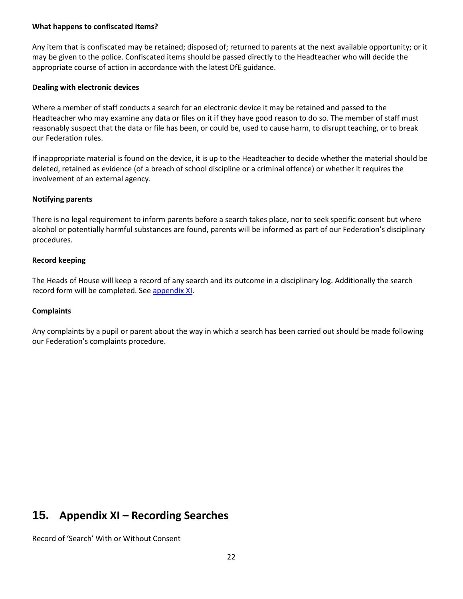#### **What happens to confiscated items?**

Any item that is confiscated may be retained; disposed of; returned to parents at the next available opportunity; or it may be given to the police. Confiscated items should be passed directly to the Headteacher who will decide the appropriate course of action in accordance with the latest DfE guidance.

## **Dealing with electronic devices**

Where a member of staff conducts a search for an electronic device it may be retained and passed to the Headteacher who may examine any data or files on it if they have good reason to do so. The member of staff must reasonably suspect that the data or file has been, or could be, used to cause harm, to disrupt teaching, or to break our Federation rules.

If inappropriate material is found on the device, it is up to the Headteacher to decide whether the material should be deleted, retained as evidence (of a breach of school discipline or a criminal offence) or whether it requires the involvement of an external agency.

## **Notifying parents**

There is no legal requirement to inform parents before a search takes place, nor to seek specific consent but where alcohol or potentially harmful substances are found, parents will be informed as part of our Federation's disciplinary procedures.

# **Record keeping**

The Heads of House will keep a record of any search and its outcome in a disciplinary log. Additionally the search record form will be completed. See [appendix XI.](#page-21-0)

## **Complaints**

Any complaints by a pupil or parent about the way in which a search has been carried out should be made following our Federation's complaints procedure.

# <span id="page-21-0"></span>**15. Appendix XI – Recording Searches**

Record of 'Search' With or Without Consent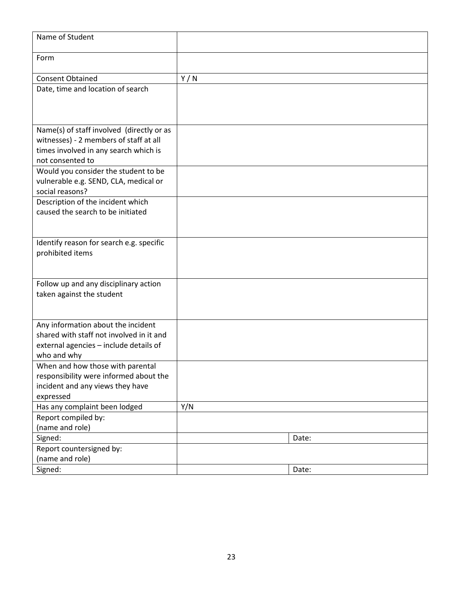| Name of Student                                                                     |     |       |
|-------------------------------------------------------------------------------------|-----|-------|
| Form                                                                                |     |       |
| <b>Consent Obtained</b>                                                             | Y/N |       |
| Date, time and location of search                                                   |     |       |
|                                                                                     |     |       |
|                                                                                     |     |       |
|                                                                                     |     |       |
| Name(s) of staff involved (directly or as<br>witnesses) - 2 members of staff at all |     |       |
| times involved in any search which is                                               |     |       |
| not consented to                                                                    |     |       |
| Would you consider the student to be                                                |     |       |
| vulnerable e.g. SEND, CLA, medical or                                               |     |       |
| social reasons?                                                                     |     |       |
| Description of the incident which                                                   |     |       |
| caused the search to be initiated                                                   |     |       |
|                                                                                     |     |       |
|                                                                                     |     |       |
| Identify reason for search e.g. specific                                            |     |       |
| prohibited items                                                                    |     |       |
|                                                                                     |     |       |
|                                                                                     |     |       |
| Follow up and any disciplinary action<br>taken against the student                  |     |       |
|                                                                                     |     |       |
|                                                                                     |     |       |
| Any information about the incident                                                  |     |       |
| shared with staff not involved in it and                                            |     |       |
| external agencies - include details of                                              |     |       |
| who and why                                                                         |     |       |
| When and how those with parental                                                    |     |       |
| responsibility were informed about the                                              |     |       |
| incident and any views they have                                                    |     |       |
| expressed                                                                           |     |       |
| Has any complaint been lodged                                                       | Y/N |       |
| Report compiled by:                                                                 |     |       |
| (name and role)                                                                     |     |       |
| Signed:                                                                             |     | Date: |
| Report countersigned by:                                                            |     |       |
| (name and role)                                                                     |     |       |
| Signed:                                                                             |     | Date: |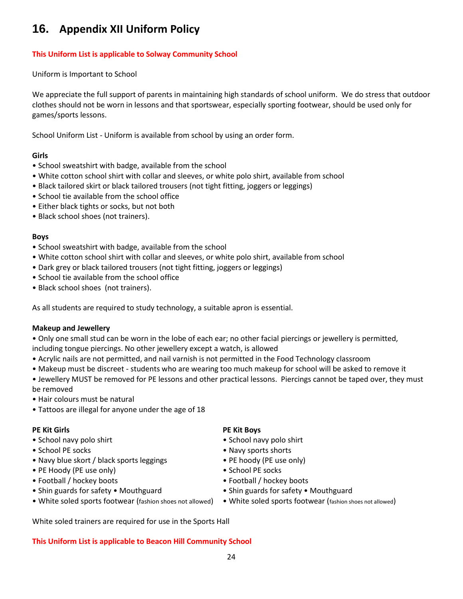# **16. Appendix XII Uniform Policy**

# **This Uniform List is applicable to Solway Community School**

Uniform is Important to School

We appreciate the full support of parents in maintaining high standards of school uniform. We do stress that outdoor clothes should not be worn in lessons and that sportswear, especially sporting footwear, should be used only for games/sports lessons.

School Uniform List - Uniform is available from school by using an order form.

# **Girls**

- School sweatshirt with badge, available from the school
- White cotton school shirt with collar and sleeves, or white polo shirt, available from school
- Black tailored skirt or black tailored trousers (not tight fitting, joggers or leggings)
- School tie available from the school office
- Either black tights or socks, but not both
- Black school shoes (not trainers).

# **Boys**

- School sweatshirt with badge, available from the school
- White cotton school shirt with collar and sleeves, or white polo shirt, available from school
- Dark grey or black tailored trousers (not tight fitting, joggers or leggings)
- School tie available from the school office
- Black school shoes (not trainers).

As all students are required to study technology, a suitable apron is essential.

## **Makeup and Jewellery**

• Only one small stud can be worn in the lobe of each ear; no other facial piercings or jewellery is permitted, including tongue piercings. No other jewellery except a watch, is allowed

- Acrylic nails are not permitted, and nail varnish is not permitted in the Food Technology classroom
- Makeup must be discreet students who are wearing too much makeup for school will be asked to remove it
- Jewellery MUST be removed for PE lessons and other practical lessons. Piercings cannot be taped over, they must be removed
- Hair colours must be natural
- Tattoos are illegal for anyone under the age of 18

- School navy polo shirt School navy polo shirt School navy polo shirt
- 
- Navy blue skort / black sports leggings • PE hoody (PE use only)
- PE Hoody (PE use only) School PE socks
- Football / hockey boots Football / hockey boots
- Shin guards for safety Mouthguard Shin guards for safety Mouthguard
- White soled sports footwear (fashion shoes not allowed) White soled sports footwear (fashion shoes not allowed)

**PE Kit Girls PE Kit Boys** 

- 
- School PE socks Navy sports shorts
	-
	-
	-
	-
	-

White soled trainers are required for use in the Sports Hall

## **This Uniform List is applicable to Beacon Hill Community School**